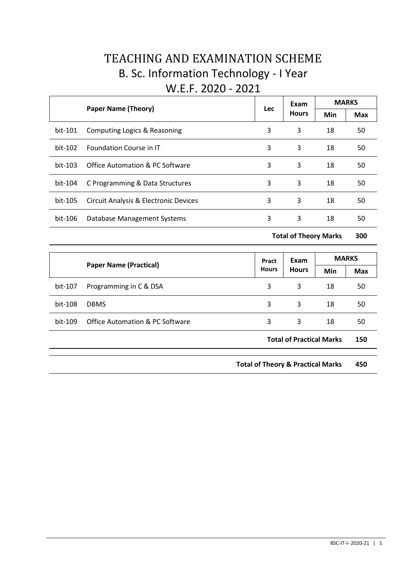# TEACHING AND EXAMINATION SCHEME B. Sc. Information Technology - I Year W.E.F. 2020 - 2021

|         |                                            | <b>Lec</b> | Exam         | <b>MARKS</b> |            |
|---------|--------------------------------------------|------------|--------------|--------------|------------|
|         | <b>Paper Name (Theory)</b>                 |            | <b>Hours</b> | Min          | <b>Max</b> |
| bit-101 | Computing Logics & Reasoning               | 3          | 3            | 18           | 50         |
| bit-102 | <b>Foundation Course in IT</b>             | 3          | 3            | 18           | 50         |
| bit-103 | <b>Office Automation &amp; PC Software</b> | 3          | 3            | 18           | 50         |
| bit-104 | C Programming & Data Structures            | 3          | 3            | 18           | 50         |
| bit-105 | Circuit Analysis & Electronic Devices      | 3          | 3            | 18           | 50         |
| bit-106 | Database Management Systems                | 3          | 3            | 18           | 50         |

**Total of Theory Marks 300**

|                               |                                            | Pract        | Exam                            | <b>MARKS</b> |     |
|-------------------------------|--------------------------------------------|--------------|---------------------------------|--------------|-----|
| <b>Paper Name (Practical)</b> |                                            | <b>Hours</b> | <b>Hours</b>                    | Min          | Max |
| bit-107                       | Programming in C & DSA                     | 3            | 3                               | 18           | 50  |
| bit-108                       | <b>DBMS</b>                                | 3            | 3                               | 18           | 50  |
| bit-109                       | <b>Office Automation &amp; PC Software</b> | 3            | 3                               | 18           | 50  |
|                               |                                            |              | <b>Total of Practical Marks</b> |              | 150 |

**Total of Theory & Practical Marks 450**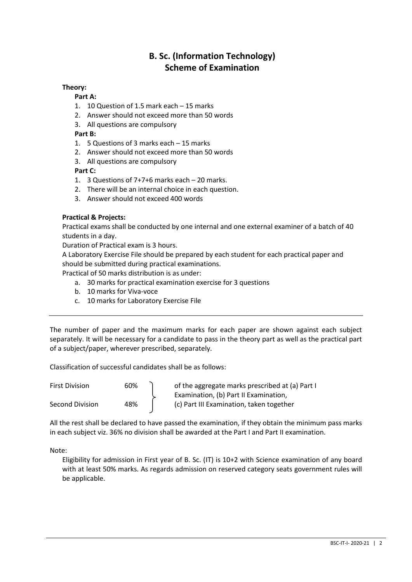## **B. Sc. (Information Technology) Scheme of Examination**

### **Theory:**

#### **Part A:**

- 1. 10 Question of 1.5 mark each 15 marks
- 2. Answer should not exceed more than 50 words
- 3. All questions are compulsory

### **Part B:**

- 1. 5 Questions of 3 marks each 15 marks
- 2. Answer should not exceed more than 50 words
- 3. All questions are compulsory

#### **Part C:**

- 1. 3 Questions of 7+7+6 marks each 20 marks.
- 2. There will be an internal choice in each question.
- 3. Answer should not exceed 400 words

#### **Practical & Projects:**

Practical exams shall be conducted by one internal and one external examiner of a batch of 40 students in a day.

Duration of Practical exam is 3 hours.

A Laboratory Exercise File should be prepared by each student for each practical paper and should be submitted during practical examinations.

Practical of 50 marks distribution is as under:

- a. 30 marks for practical examination exercise for 3 questions
- b. 10 marks for Viva-voce
- c. 10 marks for Laboratory Exercise File

The number of paper and the maximum marks for each paper are shown against each subject separately. It will be necessary for a candidate to pass in the theory part as well as the practical part of a subject/paper, wherever prescribed, separately.

Classification of successful candidates shall be as follows:

| <b>First Division</b> | 60% | of the aggregate marks prescribed at (a) Part I |
|-----------------------|-----|-------------------------------------------------|
|                       |     | Examination, (b) Part II Examination,           |
| Second Division       | 48% | (c) Part III Examination, taken together        |

All the rest shall be declared to have passed the examination, if they obtain the minimum pass marks in each subject viz. 36% no division shall be awarded at the Part I and Part II examination.

Note:

Eligibility for admission in First year of B. Sc. (IT) is 10+2 with Science examination of any board with at least 50% marks. As regards admission on reserved category seats government rules will be applicable.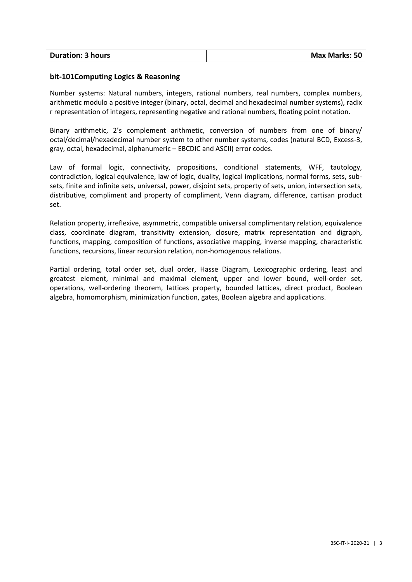| <b>Duration: 3 hours</b> | <b>Max Marks: 50</b> |
|--------------------------|----------------------|
|                          |                      |

#### **bit-101Computing Logics & Reasoning**

Number systems: Natural numbers, integers, rational numbers, real numbers, complex numbers, arithmetic modulo a positive integer (binary, octal, decimal and hexadecimal number systems), radix r representation of integers, representing negative and rational numbers, floating point notation.

Binary arithmetic, 2's complement arithmetic, conversion of numbers from one of binary/ octal/decimal/hexadecimal number system to other number systems, codes (natural BCD, Excess-3, gray, octal, hexadecimal, alphanumeric – EBCDIC and ASCII) error codes.

Law of formal logic, connectivity, propositions, conditional statements, WFF, tautology, contradiction, logical equivalence, law of logic, duality, logical implications, normal forms, sets, subsets, finite and infinite sets, universal, power, disjoint sets, property of sets, union, intersection sets, distributive, compliment and property of compliment, Venn diagram, difference, cartisan product set.

Relation property, irreflexive, asymmetric, compatible universal complimentary relation, equivalence class, coordinate diagram, transitivity extension, closure, matrix representation and digraph, functions, mapping, composition of functions, associative mapping, inverse mapping, characteristic functions, recursions, linear recursion relation, non-homogenous relations.

Partial ordering, total order set, dual order, Hasse Diagram, Lexicographic ordering, least and greatest element, minimal and maximal element, upper and lower bound, well-order set, operations, well-ordering theorem, lattices property, bounded lattices, direct product, Boolean algebra, homomorphism, minimization function, gates, Boolean algebra and applications.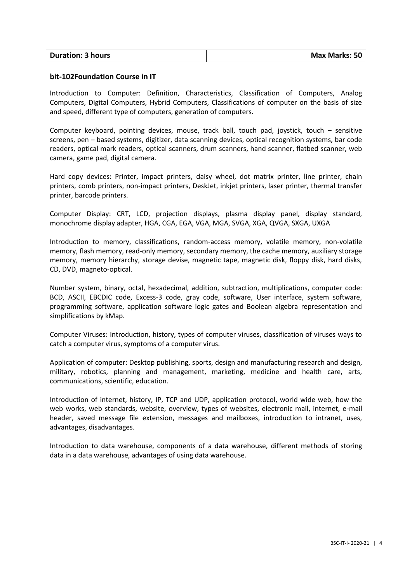| <b>Duration: 3 hours</b> | <b>Max Marks: 50</b> |
|--------------------------|----------------------|
|                          |                      |

#### **bit-102Foundation Course in IT**

Introduction to Computer: Definition, Characteristics, Classification of Computers, Analog Computers, Digital Computers, Hybrid Computers, Classifications of computer on the basis of size and speed, different type of computers, generation of computers.

Computer keyboard, pointing devices, mouse, track ball, touch pad, joystick, touch – sensitive screens, pen – based systems, digitizer, data scanning devices, optical recognition systems, bar code readers, optical mark readers, optical scanners, drum scanners, hand scanner, flatbed scanner, web camera, game pad, digital camera.

Hard copy devices: Printer, impact printers, daisy wheel, dot matrix printer, line printer, chain printers, comb printers, non-impact printers, DeskJet, inkjet printers, laser printer, thermal transfer printer, barcode printers.

Computer Display: CRT, LCD, projection displays, plasma display panel, display standard, monochrome display adapter, HGA, CGA, EGA, VGA, MGA, SVGA, XGA, QVGA, SXGA, UXGA

Introduction to memory, classifications, random-access memory, volatile memory, non-volatile memory, flash memory, read-only memory, secondary memory, the cache memory, auxiliary storage memory, memory hierarchy, storage devise, magnetic tape, magnetic disk, floppy disk, hard disks, CD, DVD, magneto-optical.

Number system, binary, octal, hexadecimal, addition, subtraction, multiplications, computer code: BCD, ASCII, EBCDIC code, Excess-3 code, gray code, software, User interface, system software, programming software, application software logic gates and Boolean algebra representation and simplifications by kMap.

Computer Viruses: Introduction, history, types of computer viruses, classification of viruses ways to catch a computer virus, symptoms of a computer virus.

Application of computer: Desktop publishing, sports, design and manufacturing research and design, military, robotics, planning and management, marketing, medicine and health care, arts, communications, scientific, education.

Introduction of internet, history, IP, TCP and UDP, application protocol, world wide web, how the web works, web standards, website, overview, types of websites, electronic mail, internet, e-mail header, saved message file extension, messages and mailboxes, introduction to intranet, uses, advantages, disadvantages.

Introduction to data warehouse, components of a data warehouse, different methods of storing data in a data warehouse, advantages of using data warehouse.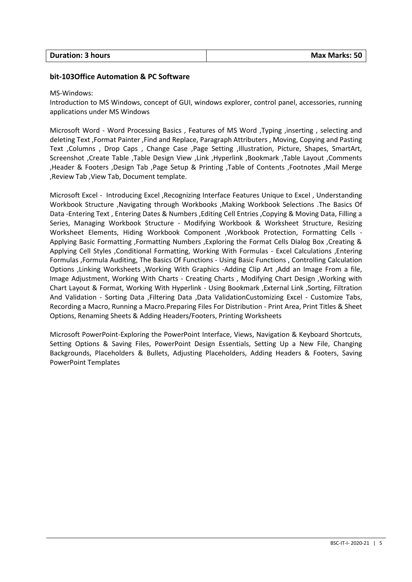| <b>Duration: 3 hours</b> | <b>Max Marks: 50</b> |
|--------------------------|----------------------|
|                          |                      |

#### **bit-103Office Automation & PC Software**

#### MS-Windows:

Introduction to MS Windows, concept of GUI, windows explorer, control panel, accessories, running applications under MS Windows

Microsoft Word - Word Processing Basics , Features of MS Word ,Typing ,inserting , selecting and deleting Text ,Format Painter ,Find and Replace, Paragraph Attributers , Moving, Copying and Pasting Text ,Columns , Drop Caps , Change Case ,Page Setting ,Illustration, Picture, Shapes, SmartArt, Screenshot ,Create Table ,Table Design View ,Link ,Hyperlink ,Bookmark ,Table Layout ,Comments ,Header & Footers ,Design Tab ,Page Setup & Printing ,Table of Contents ,Footnotes ,Mail Merge ,Review Tab ,View Tab, Document template.

Microsoft Excel - Introducing Excel ,Recognizing Interface Features Unique to Excel , Understanding Workbook Structure ,Navigating through Workbooks ,Making Workbook Selections .The Basics Of Data -Entering Text , Entering Dates & Numbers ,Editing Cell Entries ,Copying & Moving Data, Filling a Series, Managing Workbook Structure - Modifying Workbook & Worksheet Structure, Resizing Worksheet Elements, Hiding Workbook Component ,Workbook Protection, Formatting Cells - Applying Basic Formatting ,Formatting Numbers ,Exploring the Format Cells Dialog Box ,Creating & Applying Cell Styles ,Conditional Formatting, Working With Formulas - Excel Calculations ,Entering Formulas ,Formula Auditing, The Basics Of Functions - Using Basic Functions , Controlling Calculation Options ,Linking Worksheets ,Working With Graphics -Adding Clip Art ,Add an Image From a file, Image Adjustment, Working With Charts - Creating Charts , Modifying Chart Design ,Working with Chart Layout & Format, Working With Hyperlink - Using Bookmark ,External Link ,Sorting, Filtration And Validation - Sorting Data ,Filtering Data ,Data ValidationCustomizing Excel - Customize Tabs, Recording a Macro, Running a Macro.Preparing Files For Distribution - Print Area, Print Titles & Sheet Options, Renaming Sheets & Adding Headers/Footers, Printing Worksheets

Microsoft PowerPoint-Exploring the PowerPoint Interface, Views, Navigation & Keyboard Shortcuts, Setting Options & Saving Files, PowerPoint Design Essentials, Setting Up a New File, Changing Backgrounds, Placeholders & Bullets, Adjusting Placeholders, Adding Headers & Footers, Saving PowerPoint Templates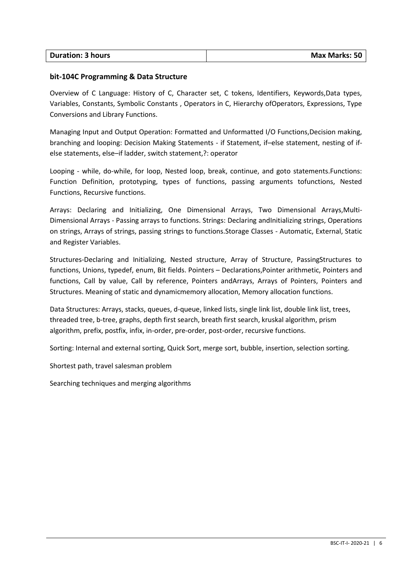| <b>Duration: 3 hours</b> | <b>Max Marks: 50</b> |
|--------------------------|----------------------|
|                          |                      |

#### **bit-104C Programming & Data Structure**

Overview of C Language: History of C, Character set, C tokens, Identifiers, Keywords,Data types, Variables, Constants, Symbolic Constants , Operators in C, Hierarchy ofOperators, Expressions, Type Conversions and Library Functions.

Managing Input and Output Operation: Formatted and Unformatted I/O Functions,Decision making, branching and looping: Decision Making Statements - if Statement, if–else statement, nesting of ifelse statements, else–if ladder, switch statement,?: operator

Looping - while, do-while, for loop, Nested loop, break, continue, and goto statements.Functions: Function Definition, prototyping, types of functions, passing arguments tofunctions, Nested Functions, Recursive functions.

Arrays: Declaring and Initializing, One Dimensional Arrays, Two Dimensional Arrays,Multi-Dimensional Arrays - Passing arrays to functions. Strings: Declaring andInitializing strings, Operations on strings, Arrays of strings, passing strings to functions.Storage Classes - Automatic, External, Static and Register Variables.

Structures-Declaring and Initializing, Nested structure, Array of Structure, PassingStructures to functions, Unions, typedef, enum, Bit fields. Pointers – Declarations,Pointer arithmetic, Pointers and functions, Call by value, Call by reference, Pointers andArrays, Arrays of Pointers, Pointers and Structures. Meaning of static and dynamicmemory allocation, Memory allocation functions.

Data Structures: Arrays, stacks, queues, d-queue, linked lists, single link list, double link list, trees, threaded tree, b-tree, graphs, depth first search, breath first search, kruskal algorithm, prism algorithm, prefix, postfix, infix, in-order, pre-order, post-order, recursive functions.

Sorting: Internal and external sorting, Quick Sort, merge sort, bubble, insertion, selection sorting.

Shortest path, travel salesman problem

Searching techniques and merging algorithms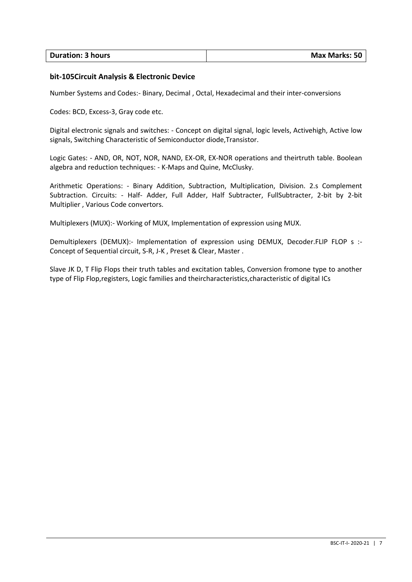| <b>Duration: 3 hours</b> | <b>Max Marks: 50</b> |
|--------------------------|----------------------|
|                          |                      |

### **bit-105Circuit Analysis & Electronic Device**

Number Systems and Codes:- Binary, Decimal , Octal, Hexadecimal and their inter-conversions

Codes: BCD, Excess-3, Gray code etc.

Digital electronic signals and switches: - Concept on digital signal, logic levels, Activehigh, Active low signals, Switching Characteristic of Semiconductor diode,Transistor.

Logic Gates: - AND, OR, NOT, NOR, NAND, EX-OR, EX-NOR operations and theirtruth table. Boolean algebra and reduction techniques: - K-Maps and Quine, McClusky.

Arithmetic Operations: - Binary Addition, Subtraction, Multiplication, Division. 2.s Complement Subtraction. Circuits: - Half- Adder, Full Adder, Half Subtracter, FullSubtracter, 2-bit by 2-bit Multiplier , Various Code convertors.

Multiplexers (MUX):- Working of MUX, Implementation of expression using MUX.

Demultiplexers (DEMUX):- Implementation of expression using DEMUX, Decoder.FLIP FLOP s :-Concept of Sequential circuit, S-R, J-K , Preset & Clear, Master .

Slave JK D, T Flip Flops their truth tables and excitation tables, Conversion fromone type to another type of Flip Flop,registers, Logic families and theircharacteristics,characteristic of digital ICs